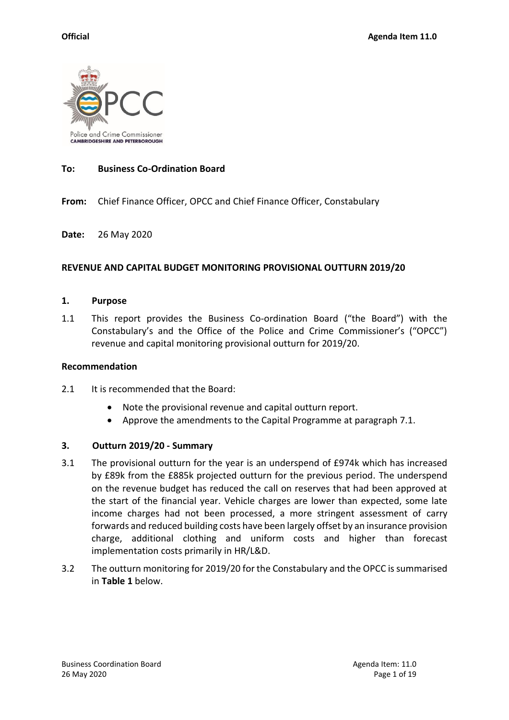

## **To: Business Co-Ordination Board**

**From:** Chief Finance Officer, OPCC and Chief Finance Officer, Constabulary

**Date:** 26 May 2020

#### **REVENUE AND CAPITAL BUDGET MONITORING PROVISIONAL OUTTURN 2019/20**

#### **1. Purpose**

1.1 This report provides the Business Co-ordination Board ("the Board") with the Constabulary's and the Office of the Police and Crime Commissioner's ("OPCC") revenue and capital monitoring provisional outturn for 2019/20.

#### **Recommendation**

- 2.1 It is recommended that the Board:
	- Note the provisional revenue and capital outturn report.
	- Approve the amendments to the Capital Programme at paragraph 7.1.

#### **3. Outturn 2019/20 - Summary**

- 3.1 The provisional outturn for the year is an underspend of £974k which has increased by £89k from the £885k projected outturn for the previous period. The underspend on the revenue budget has reduced the call on reserves that had been approved at the start of the financial year. Vehicle charges are lower than expected, some late income charges had not been processed, a more stringent assessment of carry forwards and reduced building costs have been largely offset by an insurance provision charge, additional clothing and uniform costs and higher than forecast implementation costs primarily in HR/L&D.
- 3.2 The outturn monitoring for 2019/20 for the Constabulary and the OPCC issummarised in **Table 1** below.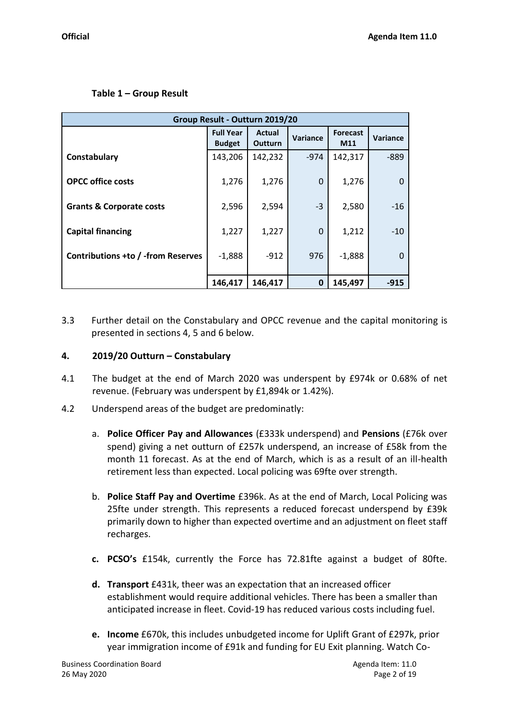# **Table 1 – Group Result**

| Group Result - Outturn 2019/20      |                                   |                                 |             |                        |          |  |  |  |
|-------------------------------------|-----------------------------------|---------------------------------|-------------|------------------------|----------|--|--|--|
|                                     | <b>Full Year</b><br><b>Budget</b> | <b>Actual</b><br><b>Outturn</b> | Variance    | <b>Forecast</b><br>M11 | Variance |  |  |  |
| Constabulary                        | 143,206                           | 142,232                         | $-974$      | 142,317                | $-889$   |  |  |  |
| <b>OPCC office costs</b>            | 1,276                             | 1,276                           | 0           | 1,276                  |          |  |  |  |
| <b>Grants &amp; Corporate costs</b> | 2,596                             | 2,594                           | $-3$        | 2,580                  | $-16$    |  |  |  |
| <b>Capital financing</b>            | 1,227                             | 1,227                           | $\Omega$    | 1,212                  | $-10$    |  |  |  |
| Contributions +to / -from Reserves  | $-1,888$                          | $-912$                          | 976         | $-1,888$               |          |  |  |  |
|                                     | 146,417                           | 146,417                         | $\mathbf 0$ | 145,497                | $-915$   |  |  |  |

3.3 Further detail on the Constabulary and OPCC revenue and the capital monitoring is presented in sections 4, 5 and 6 below.

# **4. 2019/20 Outturn – Constabulary**

- 4.1 The budget at the end of March 2020 was underspent by £974k or 0.68% of net revenue. (February was underspent by £1,894k or 1.42%).
- 4.2 Underspend areas of the budget are predominatly:
	- a. **Police Officer Pay and Allowances** (£333k underspend) and **Pensions** (£76k over spend) giving a net outturn of £257k underspend, an increase of £58k from the month 11 forecast. As at the end of March, which is as a result of an ill-health retirement less than expected. Local policing was 69fte over strength.
	- b. **Police Staff Pay and Overtime** £396k. As at the end of March, Local Policing was 25fte under strength. This represents a reduced forecast underspend by £39k primarily down to higher than expected overtime and an adjustment on fleet staff recharges.
	- **c. PCSO's** £154k, currently the Force has 72.81fte against a budget of 80fte.
	- **d. Transport** £431k, theer was an expectation that an increased officer establishment would require additional vehicles. There has been a smaller than anticipated increase in fleet. Covid-19 has reduced various costs including fuel.
	- **e. Income** £670k, this includes unbudgeted income for Uplift Grant of £297k, prior year immigration income of £91k and funding for EU Exit planning. Watch Co-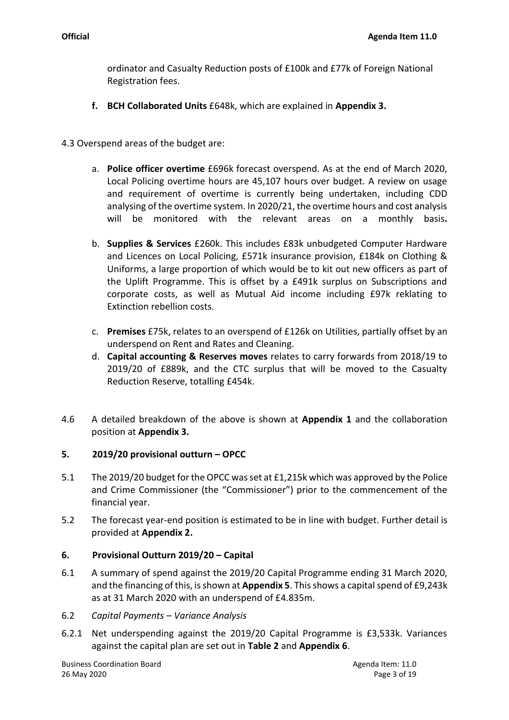ordinator and Casualty Reduction posts of £100k and £77k of Foreign National Registration fees.

- **f. BCH Collaborated Units** £648k, which are explained in **Appendix 3.**
- 4.3 Overspend areas of the budget are:
	- a. **Police officer overtime** £696k forecast overspend. As at the end of March 2020, Local Policing overtime hours are 45,107 hours over budget. A review on usage and requirement of overtime is currently being undertaken, including CDD analysing of the overtime system. In 2020/21, the overtime hours and cost analysis will be monitored with the relevant areas on a monthly basis**.**
	- b. **Supplies & Services** £260k. This includes £83k unbudgeted Computer Hardware and Licences on Local Policing, £571k insurance provision, £184k on Clothing & Uniforms, a large proportion of which would be to kit out new officers as part of the Uplift Programme. This is offset by a £491k surplus on Subscriptions and corporate costs, as well as Mutual Aid income including £97k reklating to Extinction rebellion costs.
	- c. **Premises** £75k, relates to an overspend of £126k on Utilities, partially offset by an underspend on Rent and Rates and Cleaning.
	- d. **Capital accounting & Reserves moves** relates to carry forwards from 2018/19 to 2019/20 of £889k, and the CTC surplus that will be moved to the Casualty Reduction Reserve, totalling £454k.
- 4.6 A detailed breakdown of the above is shown at **Appendix 1** and the collaboration position at **Appendix 3.**

## **5. 2019/20 provisional outturn – OPCC**

- 5.1 The 2019/20 budget for the OPCC was set at £1,215k which was approved by the Police and Crime Commissioner (the "Commissioner") prior to the commencement of the financial year.
- 5.2 The forecast year-end position is estimated to be in line with budget. Further detail is provided at **Appendix 2.**

## **6. Provisional Outturn 2019/20 – Capital**

- 6.1 A summary of spend against the 2019/20 Capital Programme ending 31 March 2020, and the financing of this, is shown at **Appendix 5**. This shows a capital spend of £9,243k as at 31 March 2020 with an underspend of £4.835m.
- 6.2 *Capital Payments – Variance Analysis*
- 6.2.1 Net underspending against the 2019/20 Capital Programme is £3,533k. Variances against the capital plan are set out in **Table 2** and **Appendix 6**.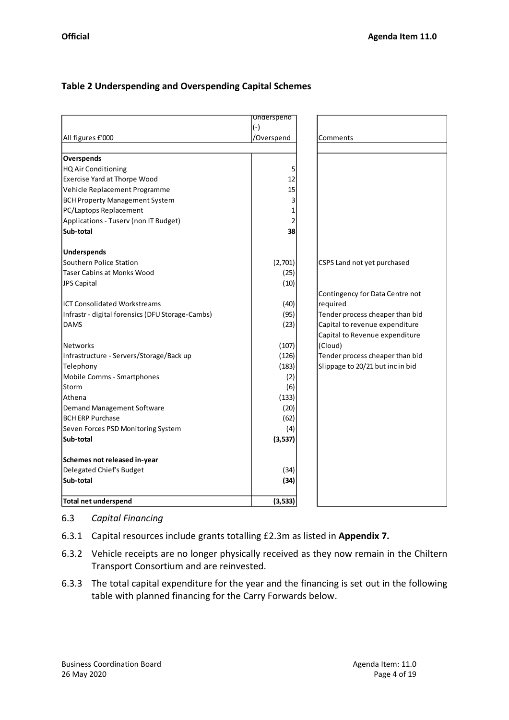# **Table 2 Underspending and Overspending Capital Schemes**

|                                                  | <b>Underspend</b> |                                  |
|--------------------------------------------------|-------------------|----------------------------------|
|                                                  | $(-)$             |                                  |
| All figures £'000                                | /Overspend        | Comments                         |
|                                                  |                   |                                  |
| Overspends                                       |                   |                                  |
| HQ Air Conditioning                              | 5                 |                                  |
| Exercise Yard at Thorpe Wood                     | 12                |                                  |
| Vehicle Replacement Programme                    | 15                |                                  |
| <b>BCH Property Management System</b>            | 3                 |                                  |
| PC/Laptops Replacement                           | 1                 |                                  |
| Applications - Tuserv (non IT Budget)            | 2                 |                                  |
| Sub-total                                        | 38                |                                  |
| <b>Underspends</b>                               |                   |                                  |
| Southern Police Station                          | (2,701)           | CSPS Land not yet purchased      |
| <b>Taser Cabins at Monks Wood</b>                | (25)              |                                  |
| <b>JPS Capital</b>                               | (10)              |                                  |
|                                                  |                   | Contingency for Data Centre not  |
| <b>ICT Consolidated Workstreams</b>              | (40)              | required                         |
| Infrastr - digital forensics (DFU Storage-Cambs) | (95)              | Tender process cheaper than bid  |
| <b>DAMS</b>                                      | (23)              | Capital to revenue expenditure   |
|                                                  |                   | Capital to Revenue expenditure   |
| <b>Networks</b>                                  | (107)             | (Cloud)                          |
| Infrastructure - Servers/Storage/Back up         | (126)             | Tender process cheaper than bid  |
| Telephony                                        | (183)             | Slippage to 20/21 but inc in bid |
| Mobile Comms - Smartphones                       | (2)               |                                  |
| <b>Storm</b>                                     | (6)               |                                  |
| Athena                                           | (133)             |                                  |
| Demand Management Software                       | (20)              |                                  |
| <b>BCH ERP Purchase</b>                          | (62)              |                                  |
| Seven Forces PSD Monitoring System               | (4)               |                                  |
| Sub-total                                        | (3, 537)          |                                  |
| Schemes not released in-year                     |                   |                                  |
| Delegated Chief's Budget                         | (34)              |                                  |
| Sub-total                                        | (34)              |                                  |
| <b>Total net underspend</b>                      | (3, 533)          |                                  |

## 6.3 *Capital Financing*

- 6.3.1 Capital resources include grants totalling £2.3m as listed in **Appendix 7.**
- 6.3.2 Vehicle receipts are no longer physically received as they now remain in the Chiltern Transport Consortium and are reinvested.
- 6.3.3 The total capital expenditure for the year and the financing is set out in the following table with planned financing for the Carry Forwards below.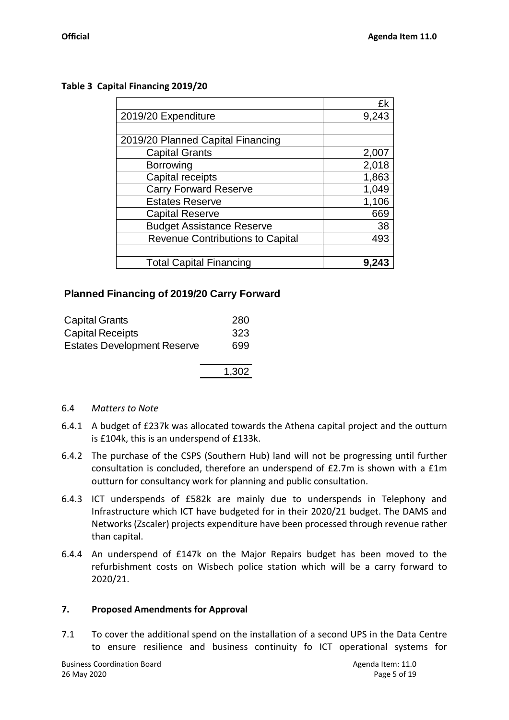|                                   | £k    |
|-----------------------------------|-------|
| 2019/20 Expenditure               | 9,243 |
|                                   |       |
| 2019/20 Planned Capital Financing |       |
| <b>Capital Grants</b>             | 2,007 |
| <b>Borrowing</b>                  | 2,018 |
| Capital receipts                  | 1,863 |
| <b>Carry Forward Reserve</b>      | 1,049 |
| <b>Estates Reserve</b>            | 1,106 |
| <b>Capital Reserve</b>            | 669   |
| <b>Budget Assistance Reserve</b>  | 38    |
| Revenue Contributions to Capital  | 493   |
|                                   |       |
| <b>Total Capital Financing</b>    |       |

# **Table 3 Capital Financing 2019/20**

# **Planned Financing of 2019/20 Carry Forward**

| <b>Capital Grants</b>              | 280   |
|------------------------------------|-------|
| <b>Capital Receipts</b>            | 323   |
| <b>Estates Development Reserve</b> | 699   |
|                                    | 1,302 |

#### 6.4 *Matters to Note*

- 6.4.1 A budget of £237k was allocated towards the Athena capital project and the outturn is £104k, this is an underspend of £133k.
- 6.4.2 The purchase of the CSPS (Southern Hub) land will not be progressing until further consultation is concluded, therefore an underspend of £2.7m is shown with a £1m outturn for consultancy work for planning and public consultation.
- 6.4.3 ICT underspends of £582k are mainly due to underspends in Telephony and Infrastructure which ICT have budgeted for in their 2020/21 budget. The DAMS and Networks (Zscaler) projects expenditure have been processed through revenue rather than capital.
- 6.4.4 An underspend of £147k on the Major Repairs budget has been moved to the refurbishment costs on Wisbech police station which will be a carry forward to 2020/21.

## **7. Proposed Amendments for Approval**

7.1 To cover the additional spend on the installation of a second UPS in the Data Centre to ensure resilience and business continuity fo ICT operational systems for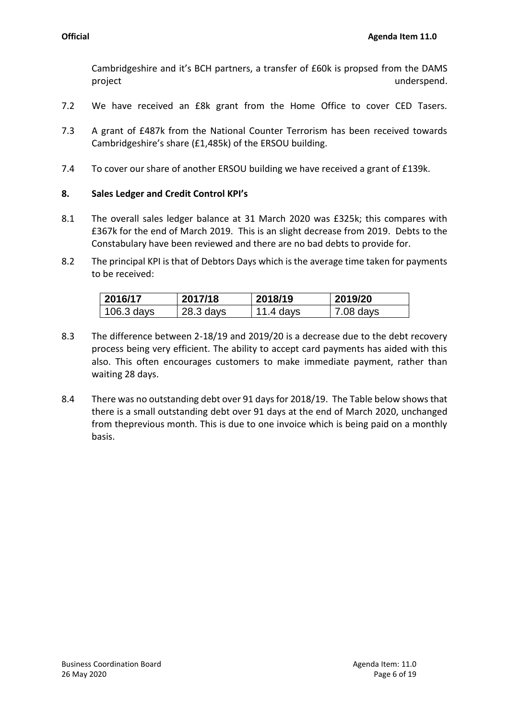Cambridgeshire and it's BCH partners, a transfer of £60k is propsed from the DAMS project and the control of the control of the control of the control of the control of the control of the control of the control of the control of the control of the control of the control of the control of the control of

- 7.2 We have received an £8k grant from the Home Office to cover CED Tasers.
- 7.3 A grant of £487k from the National Counter Terrorism has been received towards Cambridgeshire's share (£1,485k) of the ERSOU building.
- 7.4 To cover our share of another ERSOU building we have received a grant of £139k.

# **8. Sales Ledger and Credit Control KPI's**

- 8.1 The overall sales ledger balance at 31 March 2020 was £325k; this compares with £367k for the end of March 2019. This is an slight decrease from 2019. Debts to the Constabulary have been reviewed and there are no bad debts to provide for.
- 8.2 The principal KPI is that of Debtors Days which is the average time taken for payments to be received:

| 2016/17    | 2017/18     | 2018/19   | 2019/20   |
|------------|-------------|-----------|-----------|
| 106.3 days | $28.3$ days | 11.4 days | 7.08 days |

- 8.3 The difference between 2-18/19 and 2019/20 is a decrease due to the debt recovery process being very efficient. The ability to accept card payments has aided with this also. This often encourages customers to make immediate payment, rather than waiting 28 days.
- 8.4 There was no outstanding debt over 91 days for 2018/19. The Table below shows that there is a small outstanding debt over 91 days at the end of March 2020, unchanged from theprevious month. This is due to one invoice which is being paid on a monthly basis.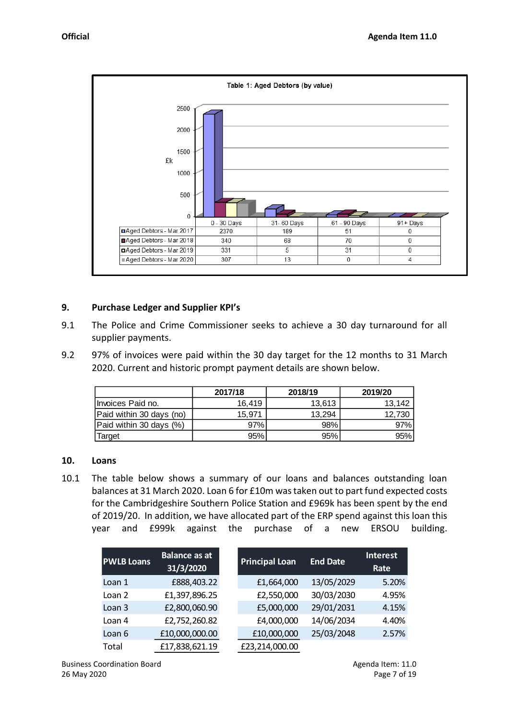

#### **9. Purchase Ledger and Supplier KPI's**

- 9.1 The Police and Crime Commissioner seeks to achieve a 30 day turnaround for all supplier payments.
- 9.2 97% of invoices were paid within the 30 day target for the 12 months to 31 March 2020. Current and historic prompt payment details are shown below.

|                          | 2017/18 | 2018/19 | 2019/20 |
|--------------------------|---------|---------|---------|
| Ilnvoices Paid no.       | 16.419  | 13.613  | 13.142  |
| Paid within 30 days (no) | 15.971  | 13.294  | 12.730  |
| Paid within 30 days (%)  | 97%     | 98%     | 97%     |
| Target                   | 95%     | 95%     | 95%     |

#### **10. Loans**

10.1 The table below shows a summary of our loans and balances outstanding loan balances at 31 March 2020. Loan 6 for £10m was taken out to part fund expected costs for the Cambridgeshire Southern Police Station and £969k has been spent by the end of 2019/20. In addition, we have allocated part of the ERP spend against this loan this year and £999k against the purchase of a new ERSOU building.

| <b>PWLB Loans</b> | <b>Balance as at</b><br>31/3/2020 | <b>Principal Loan</b> | <b>End Date</b> | <b>Interest</b><br>Rate |
|-------------------|-----------------------------------|-----------------------|-----------------|-------------------------|
| Loan 1            | £888,403.22                       | £1,664,000            | 13/05/2029      | 5.20%                   |
| Loan 2            | £1,397,896.25                     | £2,550,000            | 30/03/2030      | 4.95%                   |
| Loan <sub>3</sub> | £2,800,060.90                     | £5,000,000            | 29/01/2031      | 4.15%                   |
| Loan 4            | £2,752,260.82                     | £4,000,000            | 14/06/2034      | 4.40%                   |
| Loan 6            | £10,000,000.00                    | £10,000,000           | 25/03/2048      | 2.57%                   |
| Total             | £17,838,621.19                    | £23,214,000.00        |                 |                         |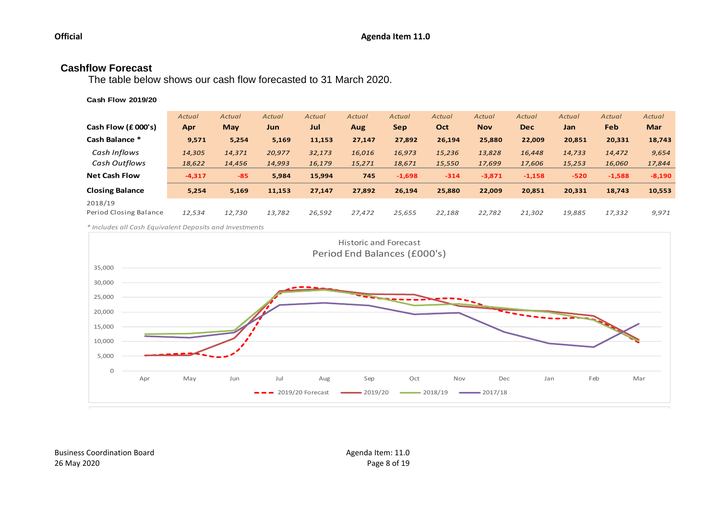# **Cashflow Forecast**

The table below shows our cash flow forecasted to 31 March 2020.

#### **Cash Flow 2019/20**

| Cash Flow (£000's)<br>Cash Balance * | Actual<br>Apr<br>9,571 | Actual<br><b>May</b><br>5,254 | Actual<br>Jun<br>5,169 | Actual<br>Jul<br>11,153 | Actual<br><b>Aug</b><br>27,147 | Actual<br><b>Sep</b><br>27,892 | Actual<br>Oct<br>26,194 | Actual<br><b>Nov</b><br>25,880 | Actual<br><b>Dec</b><br>22,009 | Actual<br>Jan<br>20,851 | Actual<br>Feb<br>20,331 | Actual<br><b>Mar</b><br>18,743 |
|--------------------------------------|------------------------|-------------------------------|------------------------|-------------------------|--------------------------------|--------------------------------|-------------------------|--------------------------------|--------------------------------|-------------------------|-------------------------|--------------------------------|
| Cash Inflows                         | 14,305                 | 14,371                        | 20,977                 | 32,173                  | 16,016                         | 16,973                         | 15,236                  | 13,828                         | 16,448                         | 14,733                  | 14,472                  | 9,654                          |
| Cash Outflows                        | 18,622                 | 14,456                        | 14,993                 | 16,179                  | 15,271                         | 18,671                         | 15,550                  | 17,699                         | 17,606                         | 15,253                  | 16,060                  | 17,844                         |
| <b>Net Cash Flow</b>                 | $-4,317$               | $-85$                         | 5,984                  | 15.994                  | 745                            | $-1,698$                       | $-314$                  | $-3,871$                       | $-1,158$                       | $-520$                  | $-1,588$                | $-8,190$                       |
| <b>Closing Balance</b>               | 5,254                  | 5,169                         | 11,153                 | 27,147                  | 27,892                         | 26,194                         | 25,880                  | 22,009                         | 20,851                         | 20,331                  | 18,743                  | 10,553                         |
| 2018/19<br>Period Closing Balance    | 12,534                 | 12,730                        | 13,782                 | 26,592                  | 27,472                         | 25,655                         | 22,188                  | 22,782                         | 21,302                         | 19,885                  | 17,332                  | 9,971                          |

*\* Includes all Cash Equivalent Deposits and Investments*

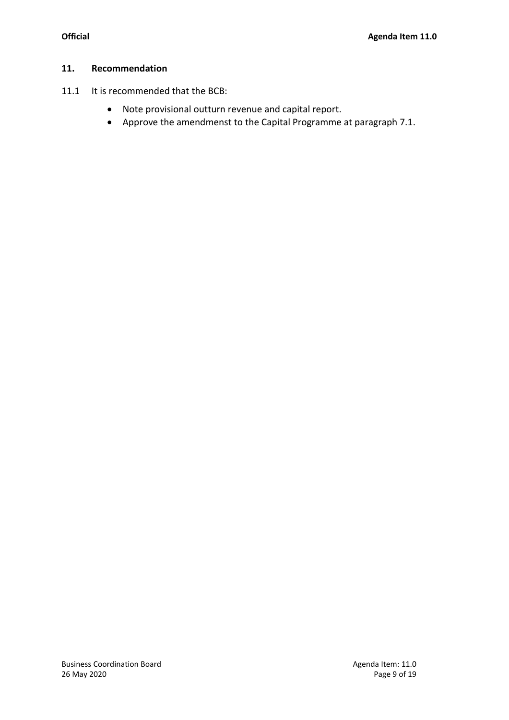#### **11. Recommendation**

- 11.1 It is recommended that the BCB:
	- Note provisional outturn revenue and capital report.
	- Approve the amendmenst to the Capital Programme at paragraph 7.1.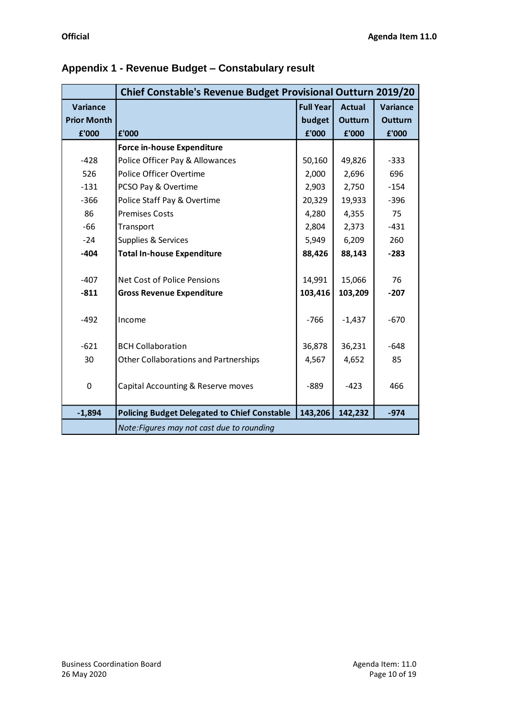|                    | <b>Chief Constable's Revenue Budget Provisional Outturn 2019/20</b> |                  |                |                 |
|--------------------|---------------------------------------------------------------------|------------------|----------------|-----------------|
| <b>Variance</b>    |                                                                     | <b>Full Year</b> | <b>Actual</b>  | <b>Variance</b> |
| <b>Prior Month</b> |                                                                     | budget           | <b>Outturn</b> | <b>Outturn</b>  |
| £'000              | £'000                                                               | £'000            | £'000          | £'000           |
|                    | <b>Force in-house Expenditure</b>                                   |                  |                |                 |
| $-428$             | Police Officer Pay & Allowances                                     | 50,160           | 49,826         | $-333$          |
| 526                | Police Officer Overtime                                             | 2,000            | 2,696          | 696             |
| $-131$             | PCSO Pay & Overtime                                                 | 2,903            | 2,750          | $-154$          |
| $-366$             | Police Staff Pay & Overtime                                         | 20,329           | 19,933         | $-396$          |
| 86                 | <b>Premises Costs</b>                                               | 4,280            | 4,355          | 75              |
| $-66$              | Transport                                                           | 2,804            | 2,373          | $-431$          |
| $-24$              | Supplies & Services                                                 | 5,949            | 6,209          | 260             |
| $-404$             | <b>Total In-house Expenditure</b>                                   | 88,426           | 88,143         | $-283$          |
|                    |                                                                     |                  |                |                 |
| $-407$             | Net Cost of Police Pensions                                         | 14,991           | 15,066         | 76              |
| $-811$             | <b>Gross Revenue Expenditure</b>                                    | 103,416          | 103,209        | $-207$          |
|                    |                                                                     |                  |                |                 |
| $-492$             | Income                                                              | $-766$           | $-1,437$       | $-670$          |
|                    |                                                                     |                  |                |                 |
| $-621$             | <b>BCH Collaboration</b>                                            | 36,878           | 36,231         | $-648$          |
| 30                 | Other Collaborations and Partnerships                               | 4,567            | 4,652          | 85              |
|                    |                                                                     |                  |                |                 |
| $\mathbf 0$        | Capital Accounting & Reserve moves                                  | $-889$           | $-423$         | 466             |
|                    |                                                                     |                  |                |                 |
| $-1,894$           | <b>Policing Budget Delegated to Chief Constable</b>                 | 143,206          | 142,232        | $-974$          |
|                    | Note: Figures may not cast due to rounding                          |                  |                |                 |

# **Appendix 1 - Revenue Budget – Constabulary result**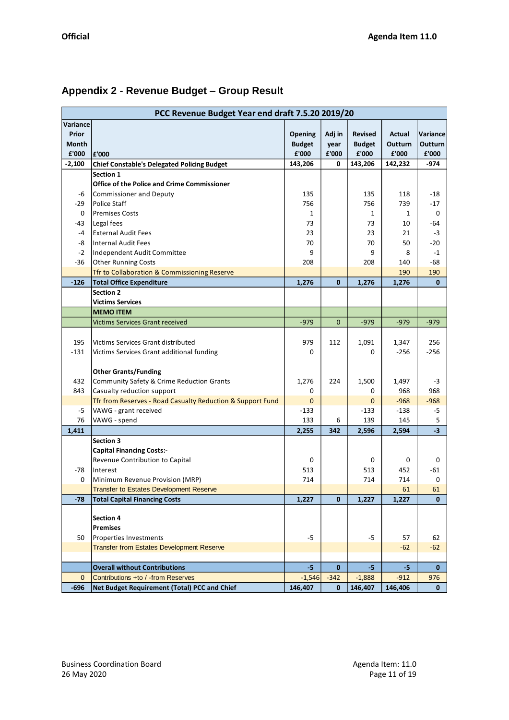|                                                 | PCC Revenue Budget Year end draft 7.5.20 2019/20            |                                              |                              |                                                     |                                       |                                      |
|-------------------------------------------------|-------------------------------------------------------------|----------------------------------------------|------------------------------|-----------------------------------------------------|---------------------------------------|--------------------------------------|
| Variance<br>Prior<br>Month<br>£'000<br>$-2,100$ | £'000<br><b>Chief Constable's Delegated Policing Budget</b> | Opening<br><b>Budget</b><br>£'000<br>143,206 | Adj in<br>year<br>£'000<br>0 | <b>Revised</b><br><b>Budget</b><br>£'000<br>143,206 | Actual<br>Outturn<br>£'000<br>142,232 | Variance<br>Outturn<br>£'000<br>-974 |
|                                                 | Section 1                                                   |                                              |                              |                                                     |                                       |                                      |
|                                                 | Office of the Police and Crime Commissioner                 |                                              |                              |                                                     |                                       |                                      |
| -6                                              | Commissioner and Deputy                                     | 135                                          |                              | 135                                                 | 118                                   | -18                                  |
| -29                                             | Police Staff                                                | 756                                          |                              | 756                                                 | 739                                   | -17                                  |
| 0                                               | <b>Premises Costs</b>                                       | 1                                            |                              | 1                                                   | $\mathbf{1}$                          | 0                                    |
| -43                                             | Legal fees                                                  | 73                                           |                              | 73                                                  | 10                                    | -64                                  |
| $-4$                                            | <b>External Audit Fees</b>                                  | 23                                           |                              | 23                                                  | 21                                    | $-3$                                 |
| -8                                              | Internal Audit Fees                                         | 70                                           |                              | 70                                                  | 50                                    | -20                                  |
| $-2$                                            | Independent Audit Committee                                 | 9                                            |                              | 9                                                   | 8                                     | $-1$                                 |
| $-36$                                           | <b>Other Running Costs</b>                                  | 208                                          |                              | 208                                                 | 140                                   | -68                                  |
|                                                 | Tfr to Collaboration & Commissioning Reserve                |                                              |                              |                                                     | 190                                   | 190                                  |
| $-126$                                          | <b>Total Office Expenditure</b>                             | 1,276                                        | $\mathbf 0$                  | 1,276                                               | 1,276                                 | $\mathbf{0}$                         |
|                                                 | <b>Section 2</b>                                            |                                              |                              |                                                     |                                       |                                      |
|                                                 | <b>Victims Services</b>                                     |                                              |                              |                                                     |                                       |                                      |
|                                                 | <b>MEMO ITEM</b>                                            |                                              |                              |                                                     |                                       |                                      |
|                                                 | <b>Victims Services Grant received</b>                      | $-979$                                       | $\mathbf{0}$                 | $-979$                                              | $-979$                                | $-979$                               |
|                                                 |                                                             |                                              |                              |                                                     |                                       |                                      |
| 195                                             | Victims Services Grant distributed                          | 979                                          | 112                          | 1,091                                               | 1,347                                 | 256                                  |
| $-131$                                          | Victims Services Grant additional funding                   | 0                                            |                              | 0                                                   | $-256$                                | $-256$                               |
|                                                 |                                                             |                                              |                              |                                                     |                                       |                                      |
|                                                 | <b>Other Grants/Funding</b>                                 |                                              |                              |                                                     |                                       |                                      |
| 432                                             | Community Safety & Crime Reduction Grants                   | 1,276                                        | 224                          | 1,500                                               | 1,497                                 | $-3$                                 |
| 843                                             | Casualty reduction support                                  | 0                                            |                              | 0                                                   | 968                                   | 968                                  |
|                                                 | Tfr from Reserves - Road Casualty Reduction & Support Fund  | $\mathbf 0$                                  |                              | 0                                                   | $-968$                                | $-968$                               |
| -5                                              | VAWG - grant received                                       | $-133$                                       |                              | $-133$                                              | $-138$                                | -5                                   |
| 76                                              | VAWG - spend                                                | 133                                          | 6                            | 139                                                 | 145                                   | 5                                    |
| 1,411                                           |                                                             | 2,255                                        | 342                          | 2,596                                               | 2,594                                 | $-3$                                 |
|                                                 | Section 3                                                   |                                              |                              |                                                     |                                       |                                      |
|                                                 | <b>Capital Financing Costs:-</b>                            |                                              |                              |                                                     |                                       |                                      |
|                                                 | Revenue Contribution to Capital                             | 0                                            |                              | 0                                                   | 0                                     | 0                                    |
| -78                                             | Interest                                                    | 513                                          |                              | 513                                                 | 452                                   | $-61$                                |
| 0                                               | Minimum Revenue Provision (MRP)                             | 714                                          |                              | 714                                                 | 714                                   | 0                                    |
|                                                 | <b>Transfer to Estates Development Reserve</b>              |                                              |                              |                                                     | 61                                    | 61                                   |
| $-78$                                           | <b>Total Capital Financing Costs</b>                        | 1,227                                        | $\mathbf{0}$                 | 1,227                                               | 1,227                                 | $\mathbf{0}$                         |
|                                                 |                                                             |                                              |                              |                                                     |                                       |                                      |
|                                                 | <b>Section 4</b>                                            |                                              |                              |                                                     |                                       |                                      |
|                                                 | <b>Premises</b>                                             |                                              |                              |                                                     |                                       |                                      |
| 50                                              | Properties Investments                                      | -5                                           |                              | -5                                                  | 57                                    | 62                                   |
|                                                 | <b>Transfer from Estates Development Reserve</b>            |                                              |                              |                                                     | $-62$                                 | $-62$                                |
|                                                 |                                                             |                                              |                              |                                                     |                                       |                                      |
|                                                 | <b>Overall without Contributions</b>                        | $-5$                                         | $\mathbf{0}$                 | $-5$                                                | $-5$                                  | $\mathbf{0}$                         |
| $\mathbf{0}$                                    | Contributions +to / -from Reserves                          | $-1,546$                                     | $-342$                       | $-1,888$                                            | $-912$                                | 976                                  |
| $-696$                                          | Net Budget Requirement (Total) PCC and Chief                | 146,407                                      | $\mathbf{0}$                 | 146,407                                             | 146,406                               | $\mathbf{0}$                         |

# **Appendix 2 - Revenue Budget – Group Result**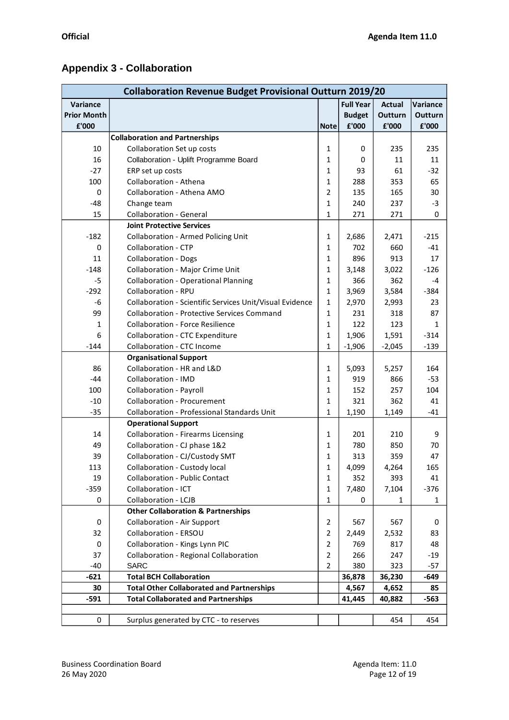# **Appendix 3 - Collaboration**

|                    | <b>Collaboration Revenue Budget Provisional Outturn 2019/20</b> |                |                  |          |          |  |  |
|--------------------|-----------------------------------------------------------------|----------------|------------------|----------|----------|--|--|
| Variance           |                                                                 |                | <b>Full Year</b> | Actual   | Variance |  |  |
| <b>Prior Month</b> |                                                                 |                | <b>Budget</b>    | Outturn  | Outturn  |  |  |
| £'000              |                                                                 | <b>Note</b>    | £'000            | £'000    | £'000    |  |  |
|                    | <b>Collaboration and Partnerships</b>                           |                |                  |          |          |  |  |
| 10                 | Collaboration Set up costs                                      | 1              | 0                | 235      | 235      |  |  |
| 16                 | Collaboration - Uplift Programme Board                          | 1              | 0                | 11       | 11       |  |  |
| $-27$              | ERP set up costs                                                | 1              | 93               | 61       | $-32$    |  |  |
| 100                | Collaboration - Athena                                          | 1              | 288              | 353      | 65       |  |  |
| 0                  | Collaboration - Athena AMO                                      | 2              | 135              | 165      | 30       |  |  |
| $-48$              | Change team                                                     | 1              | 240              | 237      | $-3$     |  |  |
| 15                 | <b>Collaboration - General</b>                                  | 1              | 271              | 271      | 0        |  |  |
|                    | <b>Joint Protective Services</b>                                |                |                  |          |          |  |  |
| $-182$             | <b>Collaboration - Armed Policing Unit</b>                      | 1              | 2,686            | 2,471    | $-215$   |  |  |
| 0                  | <b>Collaboration - CTP</b>                                      | 1              | 702              | 660      | $-41$    |  |  |
| 11                 | <b>Collaboration - Dogs</b>                                     | 1              | 896              | 913      | 17       |  |  |
| $-148$             | Collaboration - Major Crime Unit                                | 1              | 3,148            | 3,022    | $-126$   |  |  |
| -5                 | <b>Collaboration - Operational Planning</b>                     | 1              | 366              | 362      | -4       |  |  |
| $-292$             | Collaboration - RPU                                             | 1              | 3,969            | 3,584    | $-384$   |  |  |
| -6                 | Collaboration - Scientific Services Unit/Visual Evidence        | $\mathbf{1}$   | 2,970            | 2,993    | 23       |  |  |
| 99                 | <b>Collaboration - Protective Services Command</b>              | 1              | 231              | 318      | 87       |  |  |
| 1                  | <b>Collaboration - Force Resilience</b>                         | 1              | 122              | 123      | 1        |  |  |
| 6                  | <b>Collaboration - CTC Expenditure</b>                          | 1              | 1,906            | 1,591    | $-314$   |  |  |
| $-144$             | Collaboration - CTC Income                                      | 1              | $-1,906$         | $-2,045$ | $-139$   |  |  |
|                    | <b>Organisational Support</b>                                   |                |                  |          |          |  |  |
| 86                 | Collaboration - HR and L&D                                      | 1              | 5,093            | 5,257    | 164      |  |  |
| $-44$              | Collaboration - IMD                                             | 1              | 919              | 866      | $-53$    |  |  |
| 100                | <b>Collaboration - Payroll</b>                                  | 1              | 152              | 257      | 104      |  |  |
| $-10$              | <b>Collaboration - Procurement</b>                              | 1              | 321              | 362      | 41       |  |  |
| $-35$              | Collaboration - Professional Standards Unit                     | 1              | 1,190            | 1,149    | $-41$    |  |  |
|                    | <b>Operational Support</b>                                      |                |                  |          |          |  |  |
| 14                 | <b>Collaboration - Firearms Licensing</b>                       | 1              | 201              | 210      | 9        |  |  |
| 49                 | Collaboration - CJ phase 1&2                                    | 1              | 780              | 850      | 70       |  |  |
| 39                 | Collaboration - CJ/Custody SMT                                  | 1              | 313              | 359      | 47       |  |  |
| 113                | Collaboration - Custody local                                   | T              | 4,099            | 4,264    | 165      |  |  |
| 19                 | <b>Collaboration - Public Contact</b>                           | 1              | 352              | 393      | 41       |  |  |
| $-359$             | Collaboration - ICT                                             | $\mathbf{1}$   | 7,480            | 7,104    | $-376$   |  |  |
| 0                  | Collaboration - LCJB                                            | 1              | 0                | 1        | 1        |  |  |
|                    | <b>Other Collaboration &amp; Partnerships</b>                   |                |                  |          |          |  |  |
| 0                  | <b>Collaboration - Air Support</b>                              | $\overline{2}$ | 567              | 567      | 0        |  |  |
| 32                 | Collaboration - ERSOU                                           | $\overline{2}$ | 2,449            | 2,532    | 83       |  |  |
| 0                  | Collaboration - Kings Lynn PIC                                  | $\overline{2}$ | 769              | 817      | 48       |  |  |
| 37                 | Collaboration - Regional Collaboration                          | $\overline{2}$ | 266              | 247      | $-19$    |  |  |
| $-40$              | <b>SARC</b>                                                     | $\overline{2}$ | 380              | 323      | $-57$    |  |  |
| $-621$             | <b>Total BCH Collaboration</b>                                  |                | 36,878           | 36,230   | -649     |  |  |
| 30                 | <b>Total Other Collaborated and Partnerships</b>                |                | 4,567            | 4,652    | 85       |  |  |
| $-591$             | <b>Total Collaborated and Partnerships</b>                      |                | 41,445           | 40,882   | -563     |  |  |
| 0                  |                                                                 |                |                  | 454      | 454      |  |  |
|                    | Surplus generated by CTC - to reserves                          |                |                  |          |          |  |  |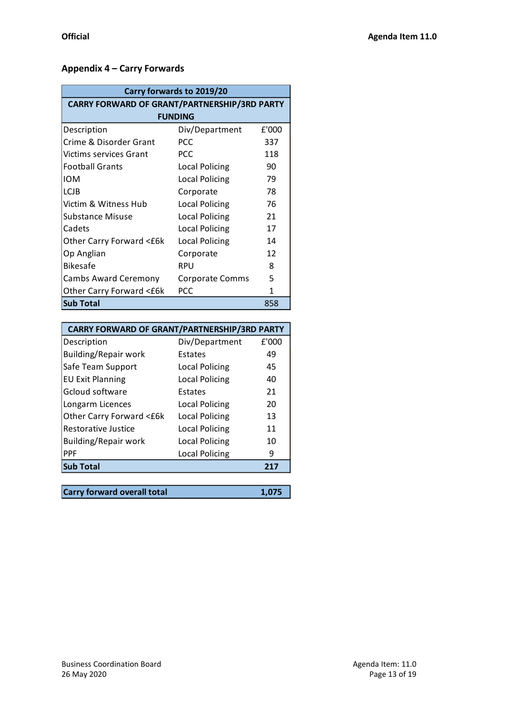# **Appendix 4 – Carry Forwards**

| Carry forwards to 2019/20                           |                        |       |  |  |  |  |
|-----------------------------------------------------|------------------------|-------|--|--|--|--|
| <b>CARRY FORWARD OF GRANT/PARTNERSHIP/3RD PARTY</b> |                        |       |  |  |  |  |
| <b>FUNDING</b>                                      |                        |       |  |  |  |  |
| Description                                         | Div/Department         | £'000 |  |  |  |  |
| Crime & Disorder Grant                              | <b>PCC</b>             | 337   |  |  |  |  |
| <b>Victims services Grant</b>                       | <b>PCC</b>             | 118   |  |  |  |  |
| <b>Football Grants</b>                              | Local Policing         | 90    |  |  |  |  |
| <b>IOM</b>                                          | Local Policing         | 79    |  |  |  |  |
| <b>LCJB</b>                                         | Corporate              | 78    |  |  |  |  |
| Victim & Witness Hub                                | <b>Local Policing</b>  | 76    |  |  |  |  |
| Substance Misuse                                    | <b>Local Policing</b>  | 21    |  |  |  |  |
| Cadets                                              | <b>Local Policing</b>  | 17    |  |  |  |  |
| Other Carry Forward <£6k                            | <b>Local Policing</b>  | 14    |  |  |  |  |
| Op Anglian                                          | Corporate              | 12    |  |  |  |  |
| <b>Bikesafe</b>                                     | <b>RPU</b>             | 8     |  |  |  |  |
| <b>Cambs Award Ceremony</b>                         | <b>Corporate Comms</b> | 5     |  |  |  |  |
| Other Carry Forward <£6k                            | <b>PCC</b>             | 1     |  |  |  |  |
| <b>Sub Total</b>                                    |                        | 858   |  |  |  |  |

| <b>CARRY FORWARD OF GRANT/PARTNERSHIP/3RD PARTY</b> |                       |       |
|-----------------------------------------------------|-----------------------|-------|
| Description                                         | Div/Department        | f'000 |
| Building/Repair work                                | Estates               | 49    |
| Safe Team Support                                   | <b>Local Policing</b> | 45    |
| <b>EU Exit Planning</b>                             | Local Policing        | 40    |
| Gcloud software                                     | Estates               | 21    |
| Longarm Licences                                    | Local Policing        | 20    |
| Other Carry Forward <£6k                            | Local Policing        | 13    |
| Restorative Justice                                 | <b>Local Policing</b> | 11    |
| Building/Repair work                                | <b>Local Policing</b> | 10    |
| <b>PPF</b>                                          | Local Policing        | 9     |
| <b>Sub Total</b>                                    |                       | 217   |
|                                                     |                       |       |

| Carry forward overall total | 1,075 |
|-----------------------------|-------|
|                             |       |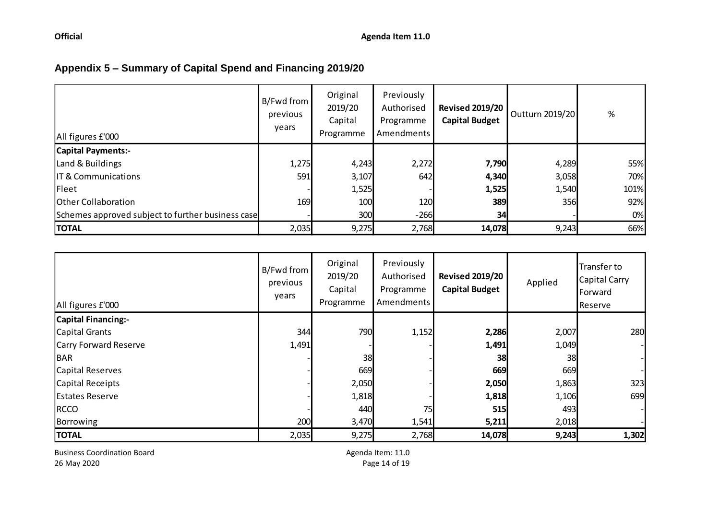# **Appendix 5 – Summary of Capital Spend and Financing 2019/20**

| All figures £'000                                 | B/Fwd from<br>previous<br>years | Original<br>2019/20<br>Capital<br>Programme | Previously<br>Authorised<br>Programme<br>Amendments | <b>Revised 2019/20</b><br><b>Capital Budget</b> | Outturn 2019/20 | $\%$ |
|---------------------------------------------------|---------------------------------|---------------------------------------------|-----------------------------------------------------|-------------------------------------------------|-----------------|------|
| <b>Capital Payments:-</b>                         |                                 |                                             |                                                     |                                                 |                 |      |
| Land & Buildings                                  | 1,275                           | 4,243                                       | 2,272                                               | 7,790                                           | 4,289           | 55%  |
| <b>IT &amp; Communications</b>                    | 591                             | 3,107                                       | 642                                                 | 4,340                                           | 3,058           | 70%  |
| Fleet                                             |                                 | 1,525                                       |                                                     | 1,525                                           | 1,540           | 101% |
| Other Collaboration                               | <b>169</b>                      | 100                                         | 120                                                 | 389                                             | 356             | 92%  |
| Schemes approved subject to further business case |                                 | 300                                         | $-266$                                              | 34                                              |                 | 0%   |
| <b>TOTAL</b>                                      | 2,035                           | 9,275                                       | 2,768                                               | 14,078                                          | 9,243           | 66%  |

| All figures £'000          | B/Fwd from<br>previous<br>years | Original<br>2019/20<br>Capital<br>Programme | Previously<br>Authorised<br>Programme<br>Amendments | <b>Revised 2019/20</b><br><b>Capital Budget</b> | Applied | Transfer to<br><b>Capital Carry</b><br>Forward<br>Reserve |
|----------------------------|---------------------------------|---------------------------------------------|-----------------------------------------------------|-------------------------------------------------|---------|-----------------------------------------------------------|
| <b>Capital Financing:-</b> |                                 |                                             |                                                     |                                                 |         |                                                           |
| Capital Grants             | 344                             | 790                                         | 1,152                                               | 2,286                                           | 2,007   | 280                                                       |
| Carry Forward Reserve      | 1,491                           |                                             |                                                     | 1,491                                           | 1,049   |                                                           |
| BAR                        |                                 | 38                                          |                                                     | 38                                              | 38      |                                                           |
| Capital Reserves           |                                 | 669                                         |                                                     | 669                                             | 669     |                                                           |
| Capital Receipts           |                                 | 2,050                                       |                                                     | 2,050                                           | 1,863   | 323                                                       |
| <b>Estates Reserve</b>     |                                 | 1,818                                       |                                                     | 1,818                                           | 1,106   | 699                                                       |
| <b>RCCO</b>                |                                 | 440                                         | 75                                                  | 515                                             | 493     |                                                           |
| Borrowing                  | 200                             | 3,470                                       | 1,541                                               | 5,211                                           | 2,018   |                                                           |
| <b>TOTAL</b>               | 2,035                           | 9,275                                       | 2,768                                               | 14,078                                          | 9,243   | 1,302                                                     |

Business Coordination Board and the coordination Board and the coordination Board Agenda Item: 11.0<br>
26 May 2020 **Page 14 of 19** 

Page 14 of 19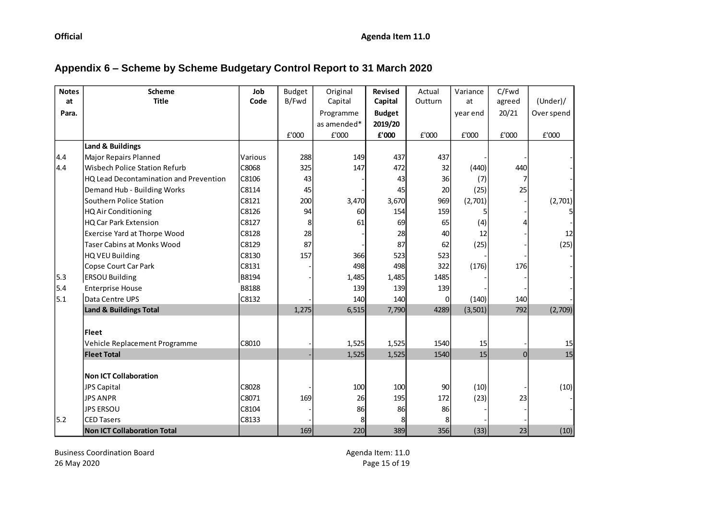# **Appendix 6 – Scheme by Scheme Budgetary Control Report to 31 March 2020**

| <b>Notes</b> | <b>Scheme</b>                                 | Job     | <b>Budget</b> | Original    | <b>Revised</b> | Actual         | Variance | C/Fwd          |                |
|--------------|-----------------------------------------------|---------|---------------|-------------|----------------|----------------|----------|----------------|----------------|
| at           | <b>Title</b>                                  | Code    | B/Fwd         | Capital     | Capital        | Outturn        | at       | agreed         | (Under) /      |
| Para.        |                                               |         |               | Programme   | <b>Budget</b>  |                | year end | 20/21          | Over spend     |
|              |                                               |         |               | as amended* | 2019/20        |                |          |                |                |
|              |                                               |         | £'000         | £'000       | £'000          | ${\tt f}$ '000 | £'000    | ${\tt f}$ '000 | ${\tt f}$ '000 |
|              | Land & Buildings                              |         |               |             |                |                |          |                |                |
| 4.4          | <b>Major Repairs Planned</b>                  | Various | 288           | 149         | 437            | 437            |          |                |                |
| 4.4          | <b>Wisbech Police Station Refurb</b>          | C8068   | 325           | 147         | 472            | 32             | (440)    | 440            |                |
|              | <b>HQ Lead Decontamination and Prevention</b> | C8106   | 43            |             | 43             | 36             | (7)      |                |                |
|              | Demand Hub - Building Works                   | C8114   | 45            |             | 45             | 20             | (25)     | 25             |                |
|              | Southern Police Station                       | C8121   | 200           | 3,470       | 3,670          | 969            | (2,701)  |                | (2,701)        |
|              | HQ Air Conditioning                           | C8126   | 94            | 60          | 154            | 159            |          |                |                |
|              | HQ Car Park Extension                         | C8127   | 8             | 61          | 69             | 65             | (4)      | Δ              |                |
|              | Exercise Yard at Thorpe Wood                  | C8128   | 28            |             | 28             | 40             | 12       |                | 12             |
|              | <b>Taser Cabins at Monks Wood</b>             | C8129   | 87            |             | 87             | 62             | (25)     |                | (25)           |
|              | HQ VEU Building                               | C8130   | 157           | 366         | 523            | 523            |          |                |                |
|              | Copse Court Car Park                          | C8131   |               | 498         | 498            | 322            | (176)    | 176            |                |
| 5.3          | <b>ERSOU Building</b>                         | B8194   |               | 1,485       | 1,485          | 1485           |          |                |                |
| 5.4          | <b>Enterprise House</b>                       | B8188   |               | 139         | 139            | 139            |          |                |                |
| 5.1          | Data Centre UPS                               | C8132   |               | 140         | 140            | $\Omega$       | (140)    | 140            |                |
|              | Land & Buildings Total                        |         | 1,275         | 6,515       | 7,790          | 4289           | (3, 501) | 792            | (2,709)        |
|              |                                               |         |               |             |                |                |          |                |                |
|              | <b>Fleet</b>                                  |         |               |             |                |                |          |                |                |
|              | Vehicle Replacement Programme                 | C8010   |               | 1,525       | 1,525          | 1540           | 15       |                | 15             |
|              | <b>Fleet Total</b>                            |         |               | 1,525       | 1,525          | 1540           | 15       | $\overline{0}$ | 15             |
|              |                                               |         |               |             |                |                |          |                |                |
|              | <b>Non ICT Collaboration</b>                  |         |               |             |                |                |          |                |                |
|              | JPS Capital                                   | C8028   |               | 100         | 100            | 90             | (10)     |                | (10)           |
|              | <b>JPS ANPR</b>                               | C8071   | 169           | 26          | 195            | 172            | (23)     | 23             |                |
|              | <b>JPS ERSOU</b>                              | C8104   |               | 86          | 86             | 86             |          |                |                |
| 5.2          | <b>CED Tasers</b>                             | C8133   |               |             |                | 8              |          |                |                |
|              | Non ICT Collaboration Total                   |         | 169           | 220         | 389            | 356            | (33)     | 23             | (10)           |

Business Coordination Board and the coordination Board and the coordination Board Agenda Item: 11.0<br>26 May 2020 20 Agenda Item: 11.0

Page 15 of 19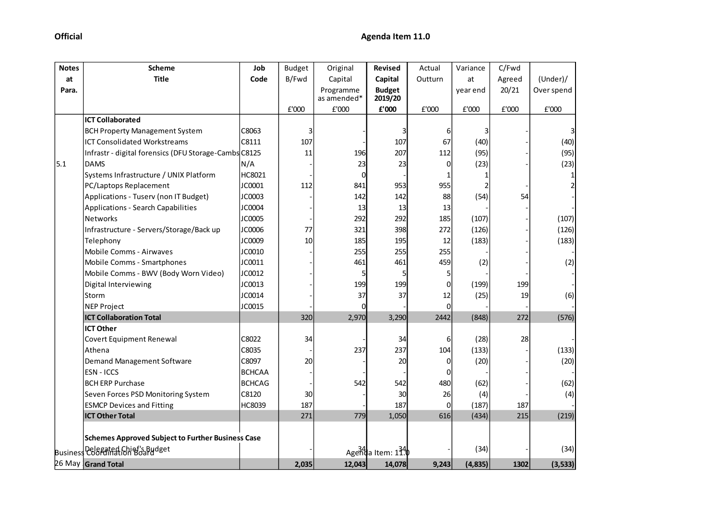| <b>Notes</b> | <b>Scheme</b>                                            | Job           | <b>Budget</b> | Original                 | <b>Revised</b>           | Actual  | Variance | C/Fwd  |            |
|--------------|----------------------------------------------------------|---------------|---------------|--------------------------|--------------------------|---------|----------|--------|------------|
| at           | <b>Title</b>                                             | Code          | B/Fwd         | Capital                  | Capital                  | Outturn | at       | Agreed | (Under) /  |
| Para.        |                                                          |               |               | Programme<br>as amended* | <b>Budget</b><br>2019/20 |         | year end | 20/21  | Over spend |
|              |                                                          |               | £'000         | £'000                    | £'000                    | £'000   | £'000    | £'000  | £'000      |
|              | <b>ICT Collaborated</b>                                  |               |               |                          |                          |         |          |        |            |
|              | <b>BCH Property Management System</b>                    | C8063         | 3             |                          |                          | 6       | 3        |        |            |
|              | <b>ICT Consolidated Workstreams</b>                      | C8111         | 107           |                          | 107                      | 67      | (40)     |        | (40)       |
|              | Infrastr - digital forensics (DFU Storage-Cambs C8125    |               | 11            | 196                      | 207                      | 112     | (95)     |        | (95)       |
| 5.1          | <b>DAMS</b>                                              | N/A           |               | 23                       | 23                       | 0       | (23)     |        | (23)       |
|              | Systems Infrastructure / UNIX Platform                   | HC8021        |               | <sub>0</sub>             |                          |         |          |        |            |
|              | PC/Laptops Replacement                                   | JC0001        | 112           | 841                      | 953                      | 955     |          |        |            |
|              | Applications - Tuserv (non IT Budget)                    | JC0003        |               | 142                      | 142                      | 88      | (54)     | 54     |            |
|              | Applications - Search Capabilities                       | JC0004        |               | 13                       | 13                       | 13      |          |        |            |
|              | <b>Networks</b>                                          | JC0005        |               | 292                      | 292                      | 185     | (107)    |        | (107)      |
|              | Infrastructure - Servers/Storage/Back up                 | JC0006        | 77            | 321                      | 398                      | 272     | (126)    |        | (126)      |
|              | Telephony                                                | JC0009        | 10            | 185                      | 195                      | 12      | (183)    |        | (183)      |
|              | <b>Mobile Comms - Airwaves</b>                           | JC0010        |               | 255                      | 255                      | 255     |          |        |            |
|              | Mobile Comms - Smartphones                               | JC0011        |               | 461                      | 461                      | 459     | (2)      |        | (2)        |
|              | Mobile Comms - BWV (Body Worn Video)                     | JC0012        |               | 5                        |                          | 5       |          |        |            |
|              | Digital Interviewing                                     | JC0013        |               | 199                      | 199                      | 0       | (199)    | 199    |            |
|              | Storm                                                    | JC0014        |               | 37                       | 37                       | 12      | (25)     | 19     | (6)        |
|              | <b>NEP Project</b>                                       | JC0015        |               |                          |                          | 0       |          |        |            |
|              | <b>ICT Collaboration Total</b>                           |               | 320           | 2,970                    | 3,290                    | 2442    | (848)    | 272    | (576)      |
|              | <b>ICT Other</b>                                         |               |               |                          |                          |         |          |        |            |
|              | Covert Equipment Renewal                                 | C8022         | 34            |                          | 34                       | 6       | (28)     | 28     |            |
|              | Athena                                                   | C8035         |               | 237                      | 237                      | 104     | (133)    |        | (133)      |
|              | Demand Management Software                               | C8097         | 20            |                          | 20                       | 0       | (20)     |        | (20)       |
|              | ESN - ICCS                                               | <b>BCHCAA</b> |               |                          |                          | 0       |          |        |            |
|              | <b>BCH ERP Purchase</b>                                  | <b>BCHCAG</b> |               | 542                      | 542                      | 480     | (62)     |        | (62)       |
|              | Seven Forces PSD Monitoring System                       | C8120         | 30            |                          | 30                       | 26      | (4)      |        | (4)        |
|              | <b>ESMCP Devices and Fitting</b>                         | HC8039        | 187           |                          | 187                      | 0       | (187)    | 187    |            |
|              | <b>ICT Other Total</b>                                   |               | 271           | 779                      | 1,050                    | 616     | (434)    | 215    | (219)      |
|              | <b>Schemes Approved Subject to Further Business Case</b> |               |               |                          |                          |         |          |        |            |
|              | Business Coordination Board dget                         |               |               |                          | Agenda Item: 134         |         | (34)     |        | (34)       |
|              | 26 May Grand Total                                       |               | 2,035         | 12,043                   | 14,078                   | 9,243   | (4, 835) | 1302   | (3, 533)   |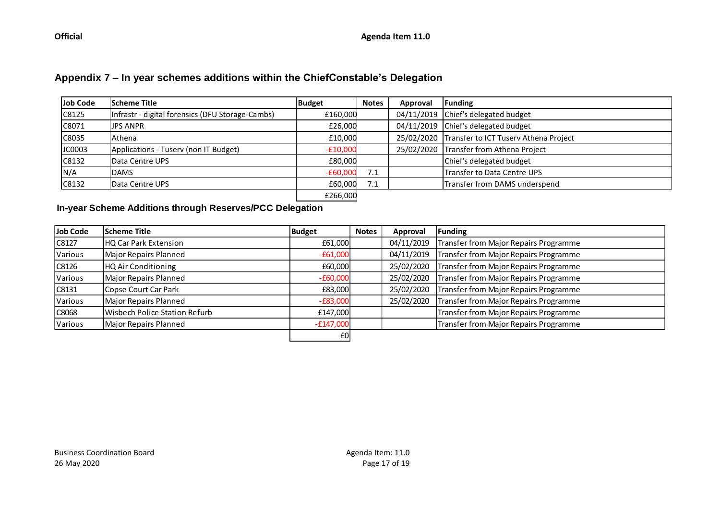# **Appendix 7 – In year schemes additions within the ChiefConstable's Delegation**

| Job Code | <b>Scheme Title</b>                              | Budget     | <b>Notes</b> | Approval   | Funding                                          |
|----------|--------------------------------------------------|------------|--------------|------------|--------------------------------------------------|
| C8125    | Infrastr - digital forensics (DFU Storage-Cambs) | £160,000   |              |            | 04/11/2019 Chief's delegated budget              |
| C8071    | <b>JPS ANPR</b>                                  | £26,000    |              |            | 04/11/2019 Chief's delegated budget              |
| C8035    | Athena                                           | £10,000    |              |            | 25/02/2020 Transfer to ICT Tuserv Athena Project |
| JC0003   | Applications - Tusery (non IT Budget)            | $-£10,000$ |              | 25/02/2020 | Transfer from Athena Project                     |
| C8132    | Data Centre UPS                                  | £80.000    |              |            | Chief's delegated budget                         |
| N/A      | <b>DAMS</b>                                      | $-£60,000$ | 7.1          |            | <b>Transfer to Data Centre UPS</b>               |
| C8132    | <b>I</b> Data Centre UPS                         | £60.000    | 7.1          |            | Transfer from DAMS underspend                    |
|          |                                                  | £266,000   |              |            |                                                  |

#### **In-year Scheme Additions through Reserves/PCC Delegation**

| Job Code      | <b>Scheme Title</b>           | <b>Budget</b> | <b>Notes</b> | Approval   | <b>Funding</b>                        |
|---------------|-------------------------------|---------------|--------------|------------|---------------------------------------|
| $\vert$ C8127 | HQ Car Park Extension         | £61,000       |              | 04/11/2019 | Transfer from Major Repairs Programme |
| Various       | Major Repairs Planned         | $-£61,000$    |              | 04/11/2019 | Transfer from Major Repairs Programme |
| $\vert$ C8126 | <b>HQ Air Conditioning</b>    | £60,000       |              | 25/02/2020 | Transfer from Major Repairs Programme |
| Various       | Major Repairs Planned         | $-£60,000$    |              | 25/02/2020 | Transfer from Major Repairs Programme |
| C8131         | Copse Court Car Park          | £83,000       |              | 25/02/2020 | Transfer from Major Repairs Programme |
| Various       | Major Repairs Planned         | $-E83,000$    |              | 25/02/2020 | Transfer from Major Repairs Programme |
| C8068         | Wisbech Police Station Refurb | £147,000      |              |            | Transfer from Major Repairs Programme |
| Various       | Major Repairs Planned         | $-E147,000$   |              |            | Transfer from Major Repairs Programme |
|               |                               | £0            |              |            |                                       |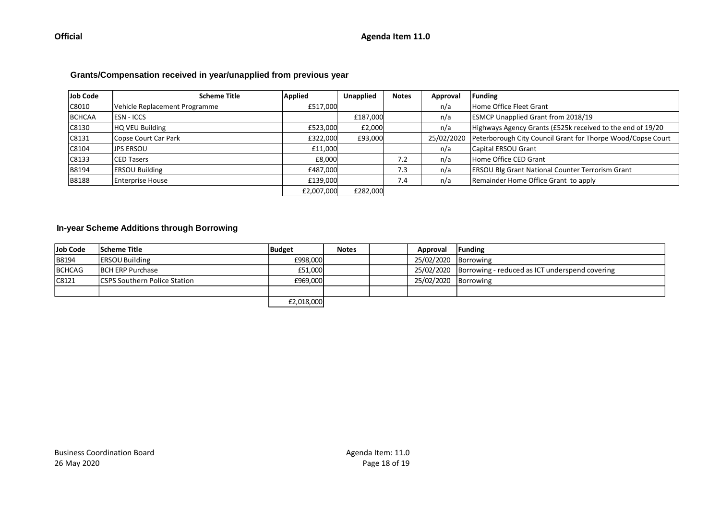#### **Grants/Compensation received in year/unapplied from previous year**

| Job Code     | <b>Scheme Title</b>           | <b>Applied</b> | <b>Unapplied</b> | <b>Notes</b> | Approval   | Funding                                                     |
|--------------|-------------------------------|----------------|------------------|--------------|------------|-------------------------------------------------------------|
| C8010        | Vehicle Replacement Programme | £517,000       |                  |              | n/a        | Home Office Fleet Grant                                     |
| BCHCAA       | <b>IESN - ICCS</b>            |                | £187,000         |              | n/a        | <b>ESMCP Unapplied Grant from 2018/19</b>                   |
| C8130        | HQ VEU Building               | £523,000       | £2,000           |              | n/a        | Highways Agency Grants (£525k received to the end of 19/20  |
| C8131        | Copse Court Car Park          | £322,000       | £93,000          |              | 25/02/2020 | Peterborough City Council Grant for Thorpe Wood/Copse Court |
| C8104        | ljps ersou                    | £11,000        |                  |              | n/a        | Capital ERSOU Grant                                         |
| C8133        | <b>ICED Tasers</b>            | £8,000         |                  | 7.2          | n/a        | Home Office CED Grant                                       |
| <b>B8194</b> | <b>ERSOU Building</b>         | £487.000       |                  | 7.3          | n/a        | <b>ERSOU Blg Grant National Counter Terrorism Grant</b>     |
| <b>B8188</b> | <b>Enterprise House</b>       | £139,000       |                  | 7.4          | n/a        | Remainder Home Office Grant to apply                        |
|              |                               | £2,007,000     | £282,000         |              |            |                                                             |

#### **In-year Scheme Additions through Borrowing**

| Job Code     | Scheme Title                         | Budget             | <b>Notes</b> | Approval             | <b>Funding</b>                                            |
|--------------|--------------------------------------|--------------------|--------------|----------------------|-----------------------------------------------------------|
| <b>B8194</b> | <b>ERSOU Building</b>                | £998.000           |              | 25/02/2020 Borrowing |                                                           |
| BCHCAG       | <b>IBCH ERP Purchase</b>             | £51,000            |              |                      | 25/02/2020 Borrowing - reduced as ICT underspend covering |
| C8121        | <b>ICSPS Southern Police Station</b> | £969.000           |              | 25/02/2020 Borrowing |                                                           |
|              |                                      |                    |              |                      |                                                           |
|              |                                      | <b>ED 019 DOOL</b> |              |                      |                                                           |

£2,018,000